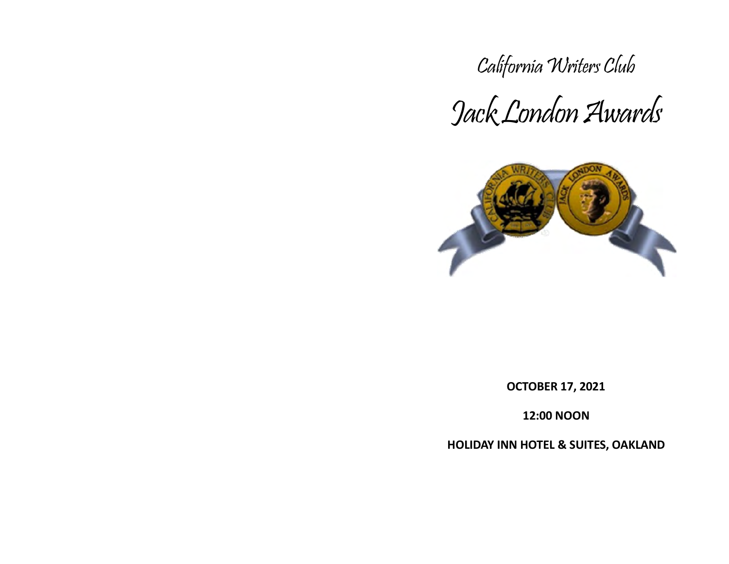California Writers Club

Jack London Awards



OCTOBER 17, 2021

12:00 NOON

HOLIDAY INN HOTEL & SUITES, OAKLAND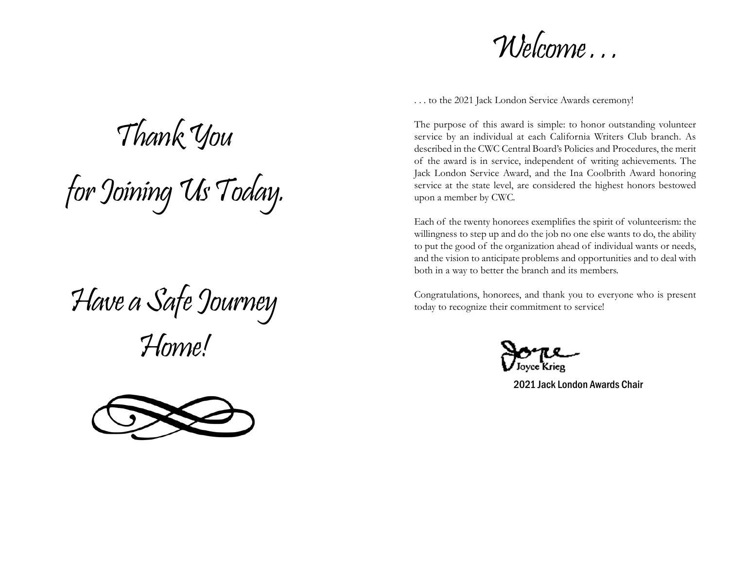Welcome...

. . . to the 2021 Jack London Service Awards ceremony!

The purpose of this award is simple: to honor outstanding volunteer service by an individual at each California Writers Club branch. As described in the CWC Central Board's Policies and Procedures, the merit of the award is in service, independent of writing achievements. The Jack London Service Award, and the Ina Coolbrith Award honoring service at the state level, are considered the highest honors bestowed upon a member by CWC.

Each of the twenty honorees exemplifies the spirit of volunteerism: the willingness to step up and do the job no one else wants to do, the ability to put the good of the organization ahead of individual wants or needs, and the vision to anticipate problems and opportunities and to deal with both in a way to better the branch and its members.

Congratulations, honorees, and thank you to everyone who is present today to recognize their commitment to service!

2021 Jack London Awards Chair



Have a Safe Journey Home!

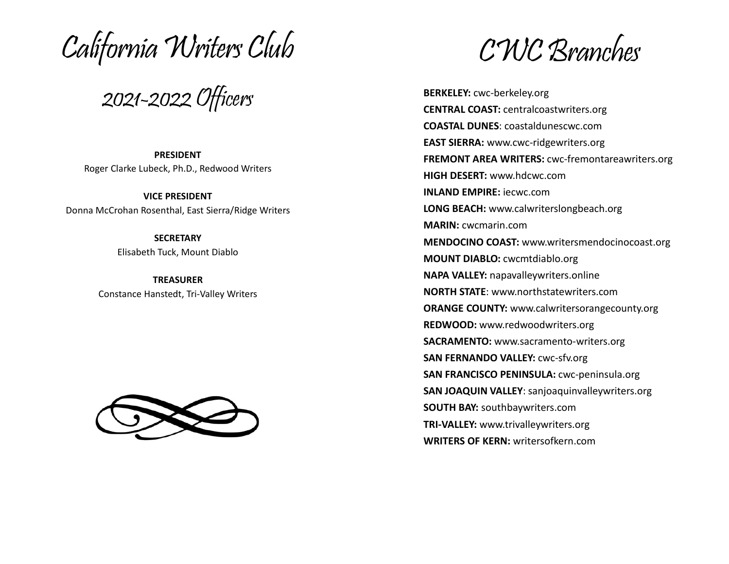California Writers Club

.<br>2021–2022 Officers

PRESIDENT Roger Clarke Lubeck, Ph.D., Redwood Writers

VICE PRESIDENT Donna McCrohan Rosenthal, East Sierra/Ridge Writers

> **SECRETARY** Elisabeth Tuck, Mount Diablo

**TREASURER** Constance Hanstedt, Tri-Valley Writers





BERKELEY: cwc-berkeley.org CENTRAL COAST: centralcoastwriters.org COASTAL DUNES: coastaldunescwc.com EAST SIERRA: www.cwc-ridgewriters.org FREMONT AREA WRITERS: cwc-fremontareawriters.org HIGH DESERT: www.hdcwc.com INLAND EMPIRE: iecwc.com LONG BEACH: www.calwriterslongbeach.org MARIN: cwcmarin.com MENDOCINO COAST: www.writersmendocinocoast.org MOUNT DIABLO: cwcmtdiablo.org NAPA VALLEY: napavalleywriters.online NORTH STATE: www.northstatewriters.com ORANGE COUNTY: www.calwritersorangecounty.org REDWOOD: www.redwoodwriters.org SACRAMENTO: www.sacramento-writers.org SAN FERNANDO VALLEY: cwc-sfv.org SAN FRANCISCO PENINSULA: cwc-peninsula.org SAN JOAQUIN VALLEY: sanjoaquinvalleywriters.org SOUTH BAY: southbaywriters.com TRI-VALLEY: www.trivalleywriters.org WRITERS OF KERN: writersofkern.com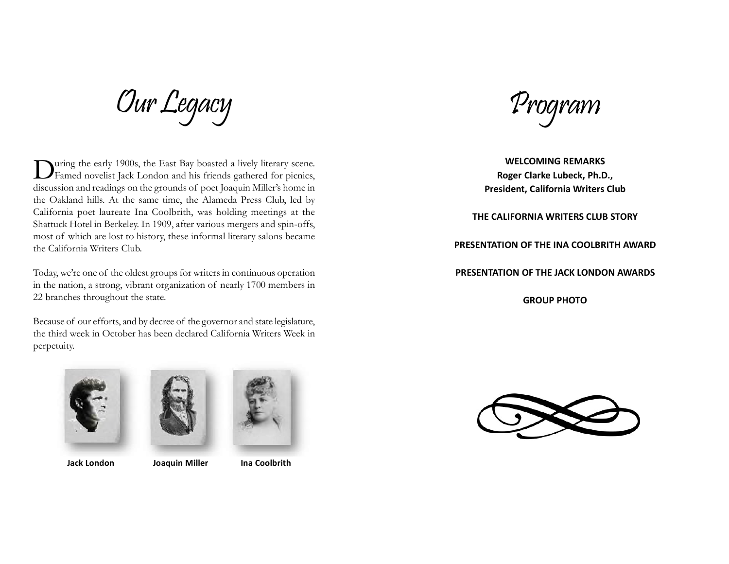Our Legacy

During the early 1900s, the East Bay boasted a lively literary scene.<br>Famed novelist Jack London and his friends gathered for picnics, uring the early 1900s, the East Bay boasted a lively literary scene. discussion and readings on the grounds of poet Joaquin Miller's home in the Oakland hills. At the same time, the Alameda Press Club, led by California poet laureate Ina Coolbrith, was holding meetings at the Shattuck Hotel in Berkeley. In 1909, after various mergers and spin-offs, most of which are lost to history, these informal literary salons became the California Writers Club.

Today, we're one of the oldest groups for writers in continuous operation in the nation, a strong, vibrant organization of nearly 1700 members in 22 branches throughout the state.

Because of our efforts, and by decree of the governor and state legislature, the third week in October has been declared California Writers Week in perpetuity.





Jack London Joaquin Miller Ina Coolbrith



WELCOMING REMARKS Roger Clarke Lubeck, Ph.D., President, California Writers Club

#### THE CALIFORNIA WRITERS CLUB STORY

PRESENTATION OF THE INA COOLBRITH AWARD

PRESENTATION OF THE JACK LONDON AWARDS

GROUP PHOTO



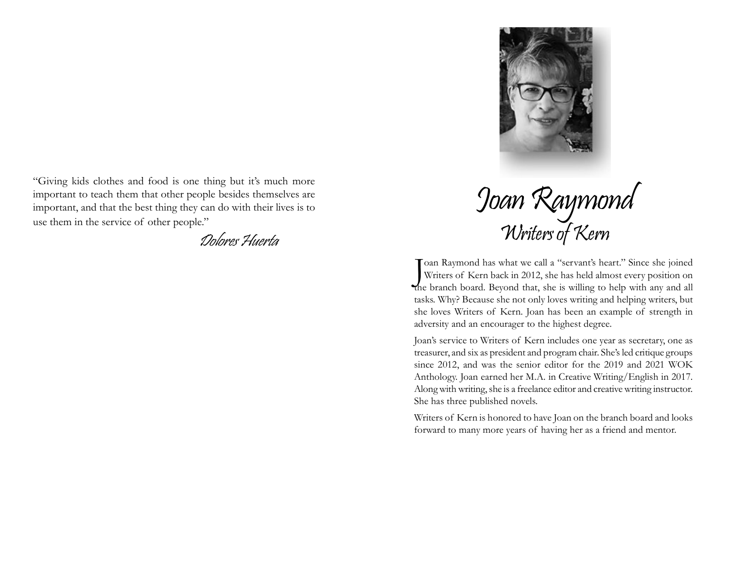"Giving kids clothes and food is one thing but it's much more important to teach them that other people besides themselves are important, and that the best thing they can do with their lives is to use them in the service of other people."

#### Dolores Huerta



Joan Raymond has what we call a "servant's heart." Since she joined<br>Writers of Kern back in 2012, she has held almost every position on<br>the branch board. Beyond that, she is willing to help with any and all oan Raymond has what we call a "servant's heart." Since she joined Writers of Kern back in 2012, she has held almost every position on tasks. Why? Because she not only loves writing and helping writers, but she loves Writers of Kern. Joan has been an example of strength in adversity and an encourager to the highest degree.

Joan's service to Writers of Kern includes one year as secretary, one as treasurer, and six as president and program chair. She's led critique groups since 2012, and was the senior editor for the 2019 and 2021 WOK Anthology. Joan earned her M.A. in Creative Writing/English in 2017. Along with writing, she is a freelance editor and creative writing instructor. She has three published novels.

Writers of Kern is honored to have Joan on the branch board and looks forward to many more years of having her as a friend and mentor.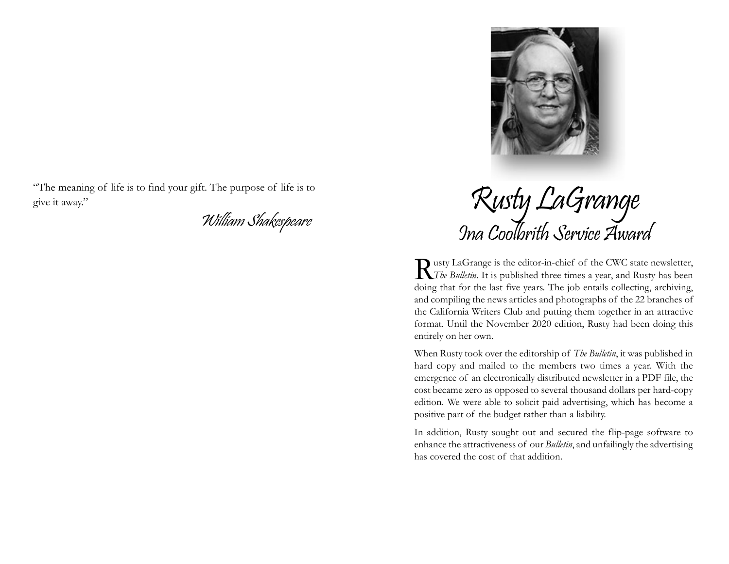"The meaning of life is to find your gift. The purpose of life is to give it away."

William Shakespeare



Rusty LaGrange Ina Coolbrith Service Award

Rusty LaGrange is the editor-in-chief of the CWC state newsletter,<br>The Bulletin. It is published three times a year, and Rusty has been  $\sum$ The Bulletin. It is published three times a year, and Rusty has been doing that for the last five years. The job entails collecting, archiving, and compiling the news articles and photographs of the 22 branches of the California Writers Club and putting them together in an attractive format. Until the November 2020 edition, Rusty had been doing this entirely on her own.

When Rusty took over the editorship of *The Bulletin*, it was published in hard copy and mailed to the members two times a year. With the emergence of an electronically distributed newsletter in a PDF file, the cost became zero as opposed to several thousand dollars per hard-copy edition. We were able to solicit paid advertising, which has become a positive part of the budget rather than a liability.

In addition, Rusty sought out and secured the flip-page software to enhance the attractiveness of our *Bulletin*, and unfailingly the advertising has covered the cost of that addition.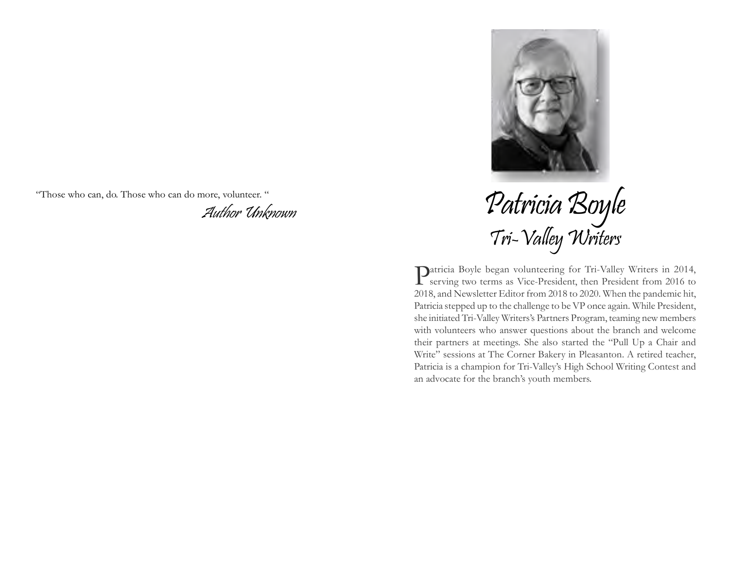"Those who can, do. Those who can do more, volunteer. "



nore, volunteer."<br>Author Unknown **Patricia Boyle** Tri-Valley Writers

> P atricia Boyle began volunteering for Tri-Valley Writers in 2014, Serving two terms as Vice-President, then President from 2016 to 2018, and Newsletter Editor from 2018 to 2020. When the pandemic hit, Patricia stepped up to the challenge to be VP once again. While President, she initiated Tri-Valley Writers's Partners Program, teaming new members with volunteers who answer questions about the branch and welcome their partners at meetings. She also started the "Pull Up a Chair and Write" sessions at The Corner Bakery in Pleasanton. A retired teacher, Patricia is a champion for Tri-Valley's High School Writing Contest and an advocate for the branch's youth members.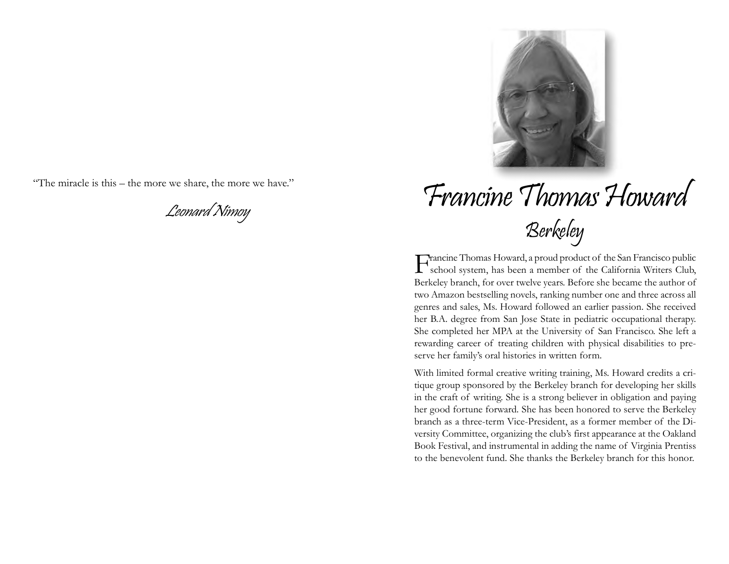"The miracle is this – the more we share, the more we have."



# e we snare, the more we have.<br>Leonard Nimoy Berkeley

Francine Thomas Howard, a proud product of the San Francisco public<br>school system, has been a member of the California Writers Club,  $\mathbf L$  school system, has been a member of the California Writers Club, Berkeley branch, for over twelve years. Before she became the author of two Amazon bestselling novels, ranking number one and three across all genres and sales, Ms. Howard followed an earlier passion. She received her B.A. degree from San Jose State in pediatric occupational therapy. She completed her MPA at the University of San Francisco. She left a rewarding career of treating children with physical disabilities to preserve her family's oral histories in written form.

With limited formal creative writing training, Ms. Howard credits a critique group sponsored by the Berkeley branch for developing her skills in the craft of writing. She is a strong believer in obligation and paying her good fortune forward. She has been honored to serve the Berkeley branch as a three-term Vice-President, as a former member of the Diversity Committee, organizing the club's first appearance at the Oakland Book Festival, and instrumental in adding the name of Virginia Prentiss to the benevolent fund. She thanks the Berkeley branch for this honor.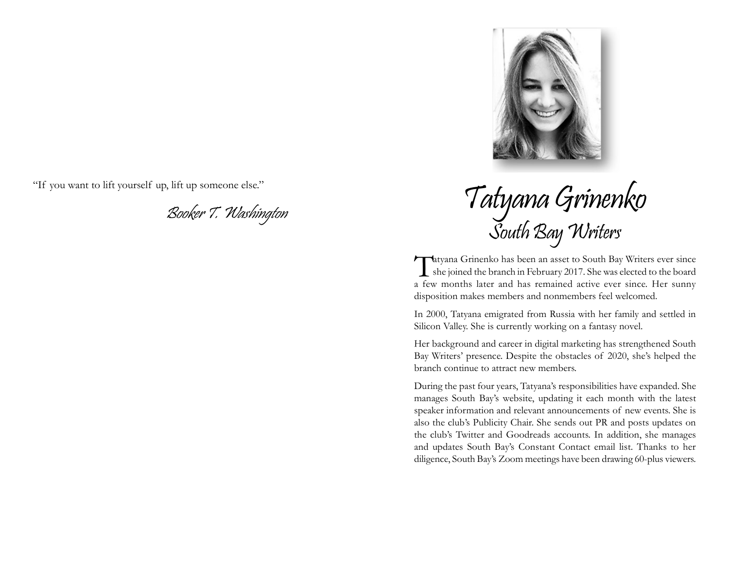"If you want to lift yourself up, lift up someone else."



Tatyana Grinenko South Bay Writers

Tatyana Grinenko has been an asset to South Bay Writers ever since<br>she joined the branch in February 2017. She was elected to the board<br>stress means had been associated active area since. Her means she joined the branch in February 2017. She was elected to the board a few months later and has remained active ever since. Her sunny disposition makes members and nonmembers feel welcomed.

In 2000, Tatyana emigrated from Russia with her family and settled in Silicon Valley. She is currently working on a fantasy novel.

Her background and career in digital marketing has strengthened South Bay Writers' presence. Despite the obstacles of 2020, she's helped the branch continue to attract new members.

During the past four years, Tatyana's responsibilities have expanded. She manages South Bay's website, updating it each month with the latest speaker information and relevant announcements of new events. She is also the club's Publicity Chair. She sends out PR and posts updates on the club's Twitter and Goodreads accounts. In addition, she manages and updates South Bay's Constant Contact email list. Thanks to her diligence, South Bay's Zoom meetings have been drawing 60-plus viewers.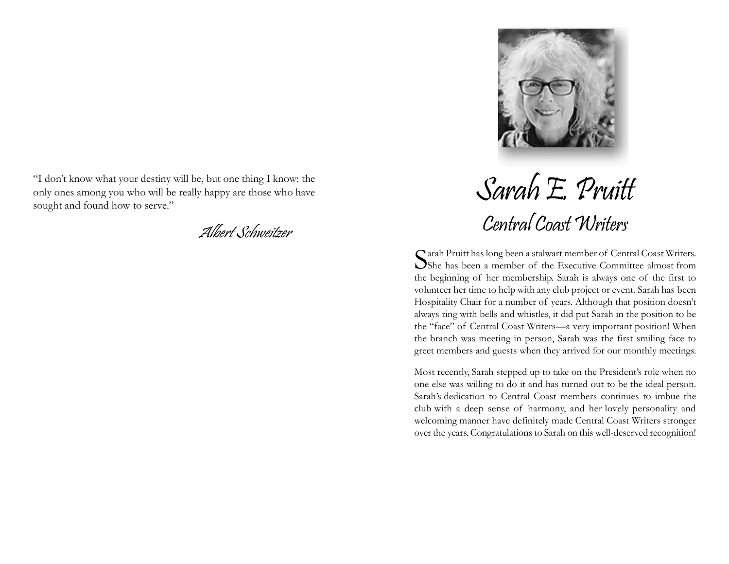"I don't know what your destiny will be, but one thing I know: the only ones among you who will be really happy are those who have sought and found how to serve."

Albert Schweitzer



Central Coast Writers

Sarah Pruitt has long been a stalwart member of Central Coast Writers.<br>She has been a member of the Executive Committee almost from She has been a member of the Executive Committee almost from the beginning of her membership. Sarah is always one of the first to volunteer her time to help with any club project or event. Sarah has been Hospitality Chair for a number of years. Although that position doesn't always ring with bells and whistles, it did put Sarah in the position to be the "face" of Central Coast Writers—a very important position! When the branch was meeting in person, Sarah was the first smiling face to greet members and guests when they arrived for our monthly meetings.

Most recently, Sarah stepped up to take on the President's role when no one else was willing to do it and has turned out to be the ideal person. Sarah's dedication to Central Coast members continues to imbue the club with a deep sense of harmony, and her lovely personality and welcoming manner have definitely made Central Coast Writers stronger over the years. Congratulations to Sarah on this well-deserved recognition!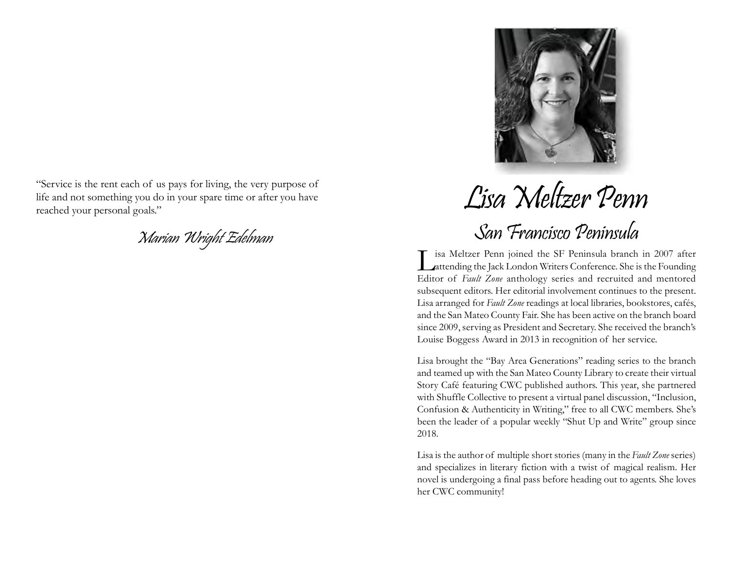"Service is the rent each of us pays for living, the very purpose of life and not something you do in your spare time or after you have reached your personal goals."

Marian Wright Edelman



Lisa Meltzer Penn San Francisco Peninsula

I is a Meltzer Penn joined the SF Peninsula branch in 2007 after<br>
attending the Jack London Writers Conference. She is the Founding isa Meltzer Penn joined the SF Peninsula branch in 2007 after Editor of Fault Zone anthology series and recruited and mentored subsequent editors. Her editorial involvement continues to the present. Lisa arranged for Fault Zone readings at local libraries, bookstores, cafés, and the San Mateo County Fair. She has been active on the branch board since 2009, serving as President and Secretary. She received the branch's Louise Boggess Award in 2013 in recognition of her service.

Lisa brought the "Bay Area Generations" reading series to the branch and teamed up with the San Mateo County Library to create their virtual Story Café featuring CWC published authors. This year, she partnered with Shuffle Collective to present a virtual panel discussion, "Inclusion, Confusion & Authenticity in Writing," free to all CWC members. She's been the leader of a popular weekly "Shut Up and Write" group since 2018.

Lisa is the author of multiple short stories (many in the Fault Zone series) and specializes in literary fiction with a twist of magical realism. Her novel is undergoing a final pass before heading out to agents. She loves her CWC community!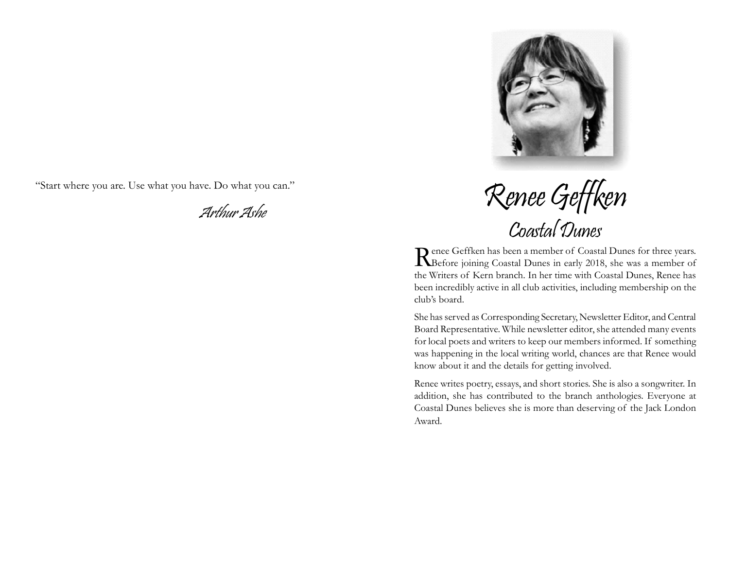"Start where you are. Use what you have. Do what you can."

Arthur Ashe



Renee Geffken Coastal Dunes

Renee Geffken has been a member of Coastal Dunes for three years.<br>Refore joining Coastal Dunes in early 2018, she was a member of Before joining Coastal Dunes in early 2018, she was a member of the Writers of Kern branch. In her time with Coastal Dunes, Renee has been incredibly active in all club activities, including membership on the club's board.

She has served as Corresponding Secretary, Newsletter Editor, and Central Board Representative. While newsletter editor, she attended many events for local poets and writers to keep our members informed. If something was happening in the local writing world, chances are that Renee would know about it and the details for getting involved.

Renee writes poetry, essays, and short stories. She is also a songwriter. In addition, she has contributed to the branch anthologies. Everyone at Coastal Dunes believes she is more than deserving of the Jack London Award.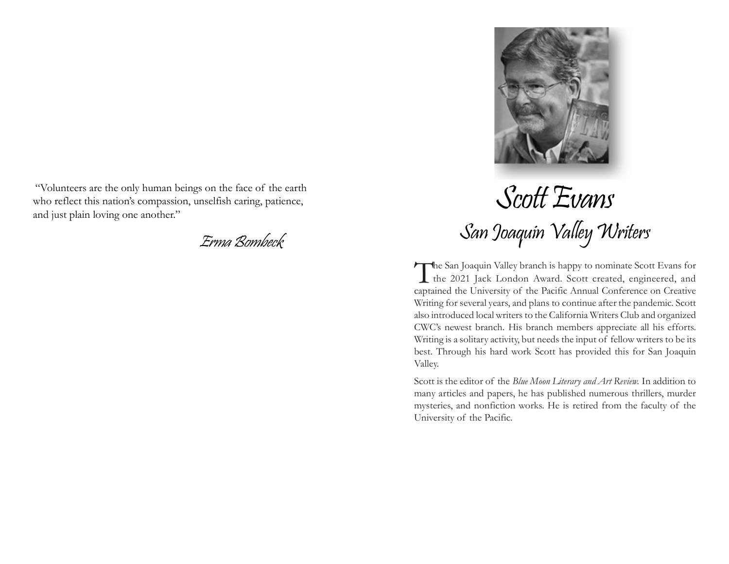"Volunteers are the only human beings on the face of the earth who reflect this nation's compassion, unselfish caring, patience, and just plain loving one another."

### Erma Bombeck



Scott Evans San Joaquin Valley Writers

The San Joaquin Valley branch is happy to nominate Scott Evans for<br>the 2021 Jack London Award. Scott created, engineered, and<br>sporting the University of the Decision Award Conference on Continu he San Joaquin Valley branch is happy to nominate Scott Evans for captained the University of the Pacific Annual Conference on Creative Writing for several years, and plans to continue after the pandemic. Scott also introduced local writers to the California Writers Club and organized CWC's newest branch. His branch members appreciate all his efforts. Writing is a solitary activity, but needs the input of fellow writers to be its best. Through his hard work Scott has provided this for San Joaquin Valley.

Scott is the editor of the *Blue Moon Literary and Art Review*. In addition to many articles and papers, he has published numerous thrillers, murder mysteries, and nonfiction works. He is retired from the faculty of the University of the Pacific.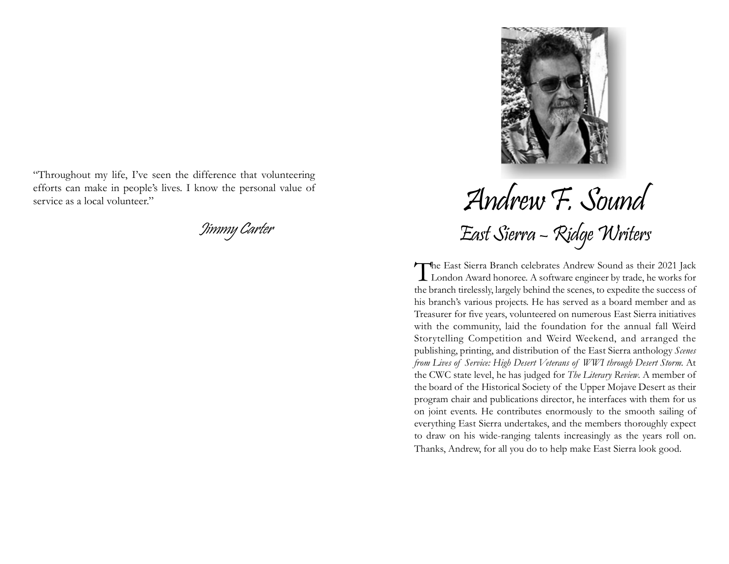"Throughout my life, I've seen the difference that volunteering efforts can make in people's lives. I know the personal value of service as a local volunteer."

Jimmy Carter



Andrew F. Sound East Sierra – Ridge Writers

The East Sierra Branch celebrates Andrew Sound as their 2021 Jack<br>London Award honoree. A software engineer by trade, he works for London Award honoree. A software engineer by trade, he works for the branch tirelessly, largely behind the scenes, to expedite the success of his branch's various projects. He has served as a board member and as Treasurer for five years, volunteered on numerous East Sierra initiatives with the community, laid the foundation for the annual fall Weird Storytelling Competition and Weird Weekend, and arranged the publishing, printing, and distribution of the East Sierra anthology Scenes from Lives of Service: High Desert Veterans of WWI through Desert Storm. At the CWC state level, he has judged for The Literary Review. A member of the board of the Historical Society of the Upper Mojave Desert as their program chair and publications director, he interfaces with them for us on joint events. He contributes enormously to the smooth sailing of everything East Sierra undertakes, and the members thoroughly expect to draw on his wide-ranging talents increasingly as the years roll on. Thanks, Andrew, for all you do to help make East Sierra look good.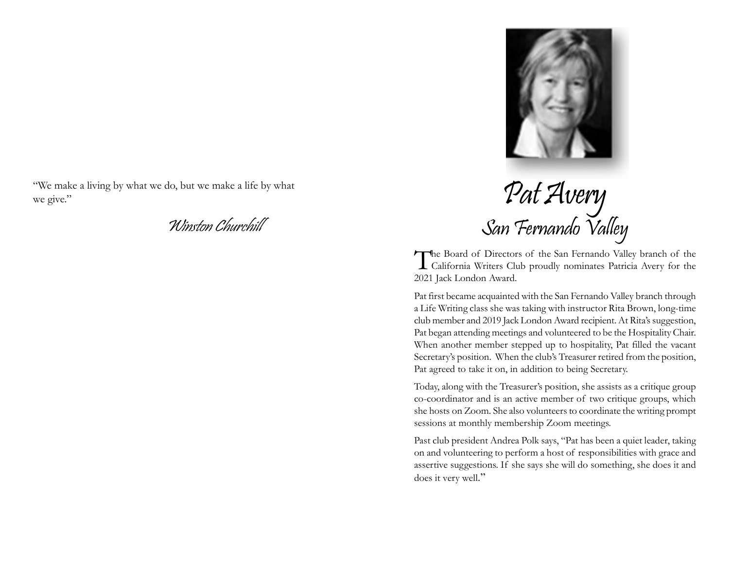"We make a living by what we do, but we make a life by what we give."

Winston Churchill



Pat Avery San Fernando Valley

The Board of Directors of the San Fernando Valley branch of the California Writers Club proudly nominates Patricia Avery for the California Writers Club proudly nominates Patricia Avery for the 2021 Jack London Award.

Pat first became acquainted with the San Fernando Valley branch through a Life Writing class she was taking with instructor Rita Brown, long-time club member and 2019 Jack London Award recipient. At Rita's suggestion, Pat began attending meetings and volunteered to be the Hospitality Chair. When another member stepped up to hospitality, Pat filled the vacant Secretary's position. When the club's Treasurer retired from the position, Pat agreed to take it on, in addition to being Secretary.

Today, along with the Treasurer's position, she assists as a critique group co-coordinator and is an active member of two critique groups, which she hosts on Zoom. She also volunteers to coordinate the writing prompt sessions at monthly membership Zoom meetings.

Past club president Andrea Polk says, "Pat has been a quiet leader, taking on and volunteering to perform a host of responsibilities with grace and assertive suggestions. If she says she will do something, she does it and does it very well."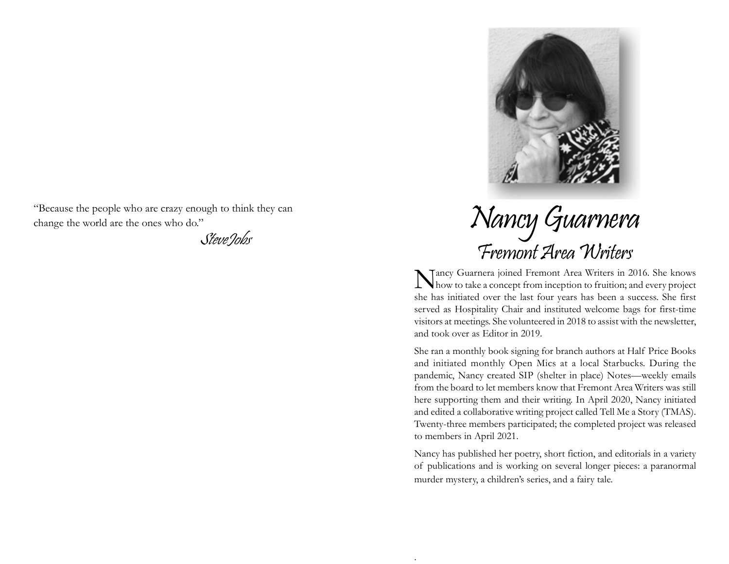"Because the people who are crazy enough to think they can change the world are the ones who do."

SteveJobs



### Nancy Guarnera Fremont Area Writers

N ancy Guarnera joined Fremont Area Writers in 2016. She knows how to take a concept from inception to fruition; and every project she has initiated over the last four years has been a success. She first served as Hospitality Chair and instituted welcome bags for first-time visitors at meetings. She volunteered in 2018 to assist with the newsletter, and took over as Editor in 2019.

She ran a monthly book signing for branch authors at Half Price Books and initiated monthly Open Mics at a local Starbucks. During the pandemic, Nancy created SIP (shelter in place) Notes—weekly emails from the board to let members know that Fremont Area Writers was still here supporting them and their writing. In April 2020, Nancy initiated and edited a collaborative writing project called Tell Me a Story (TMAS). Twenty-three members participated; the completed project was released to members in April 2021.

Nancy has published her poetry, short fiction, and editorials in a variety of publications and is working on several longer pieces: a paranormal murder mystery, a children's series, and a fairy tale.

.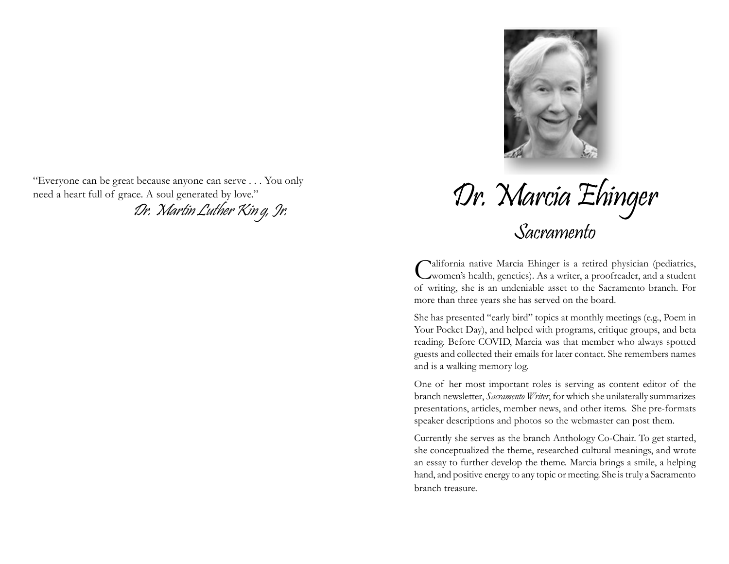"Everyone can be great because anyone can serve . . . You only need a heart full of grace. A soul generated by love."



meed a heart full of grace. A soul generated by love."<br>Dr. Marcia  $D$ r. Marcin Luther Kin g, Ir. Sacramento

California native Marcia Ehinger is a retired physician (pediatrics, women's health, genetics). As a writer, a proofreader, and a student women's health, genetics). As a writer, a proofreader, and a student of writing, she is an undeniable asset to the Sacramento branch. For more than three years she has served on the board.

She has presented "early bird" topics at monthly meetings (e.g., Poem in Your Pocket Day), and helped with programs, critique groups, and beta reading. Before COVID, Marcia was that member who always spotted guests and collected their emails for later contact. She remembers names and is a walking memory log.

One of her most important roles is serving as content editor of the branch newsletter, Sacramento Writer, for which she unilaterally summarizes presentations, articles, member news, and other items. She pre-formats speaker descriptions and photos so the webmaster can post them.

Currently she serves as the branch Anthology Co-Chair. To get started, she conceptualized the theme, researched cultural meanings, and wrote an essay to further develop the theme. Marcia brings a smile, a helping hand, and positive energy to any topic or meeting. She is truly a Sacramento branch treasure.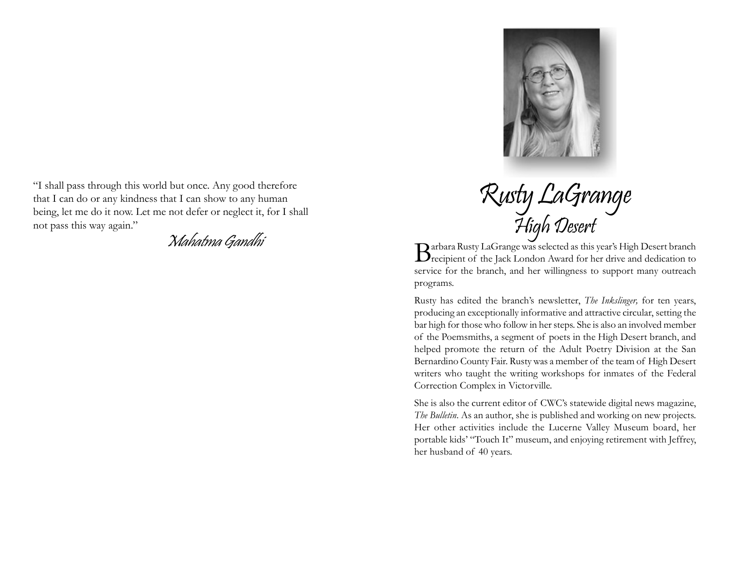"I shall pass through this world but once. Any good therefore that I can do or any kindness that I can show to any human being, let me do it now. Let me not defer or neglect it, for I shall not pass this way again."

Mahatma Gandhi



Rusty LaGrange High Desert

Barbara Rusty LaGrange was selected as this year's High Desert branch<br>Precipient of the Jack London Award for her drive and dedication to  $\mathbf D$  recipient of the Jack London Award for her drive and dedication to service for the branch, and her willingness to support many outreach programs.

Rusty has edited the branch's newsletter, The Inkslinger, for ten years, producing an exceptionally informative and attractive circular, setting the bar high for those who follow in her steps. She is also an involved member of the Poemsmiths, a segment of poets in the High Desert branch, and helped promote the return of the Adult Poetry Division at the San Bernardino County Fair. Rusty was a member of the team of High Desert writers who taught the writing workshops for inmates of the Federal Correction Complex in Victorville.

She is also the current editor of CWC's statewide digital news magazine, The Bulletin. As an author, she is published and working on new projects. Her other activities include the Lucerne Valley Museum board, her portable kids' "Touch It" museum, and enjoying retirement with Jeffrey, her husband of 40 years.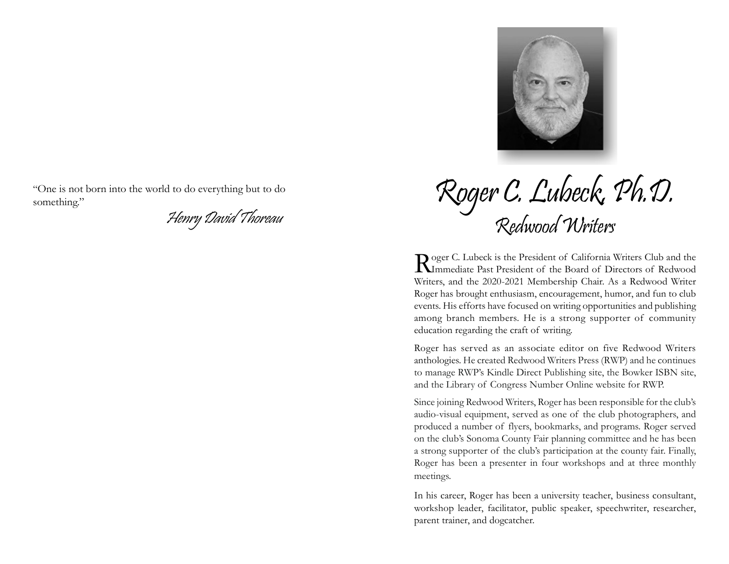

Roger C. Lubeck, Ph.D. Redwood Writers

Roger C. Lubeck is the President of California Writers Club and the Summediate Past President of the Board of Directors of Redwood Immediate Past President of the Board of Directors of Redwood Writers, and the 2020-2021 Membership Chair. As a Redwood Writer Roger has brought enthusiasm, encouragement, humor, and fun to club events. His efforts have focused on writing opportunities and publishing among branch members. He is a strong supporter of community education regarding the craft of writing.

Roger has served as an associate editor on five Redwood Writers anthologies. He created Redwood Writers Press (RWP) and he continues to manage RWP's Kindle Direct Publishing site, the Bowker ISBN site, and the Library of Congress Number Online website for RWP.

Since joining Redwood Writers, Roger has been responsible for the club's audio-visual equipment, served as one of the club photographers, and produced a number of flyers, bookmarks, and programs. Roger served on the club's Sonoma County Fair planning committee and he has been a strong supporter of the club's participation at the county fair. Finally, Roger has been a presenter in four workshops and at three monthly meetings.

In his career, Roger has been a university teacher, business consultant, workshop leader, facilitator, public speaker, speechwriter, researcher, parent trainer, and dogcatcher.

"One is not born into the world to do everything but to do something."

Henry David Thoreau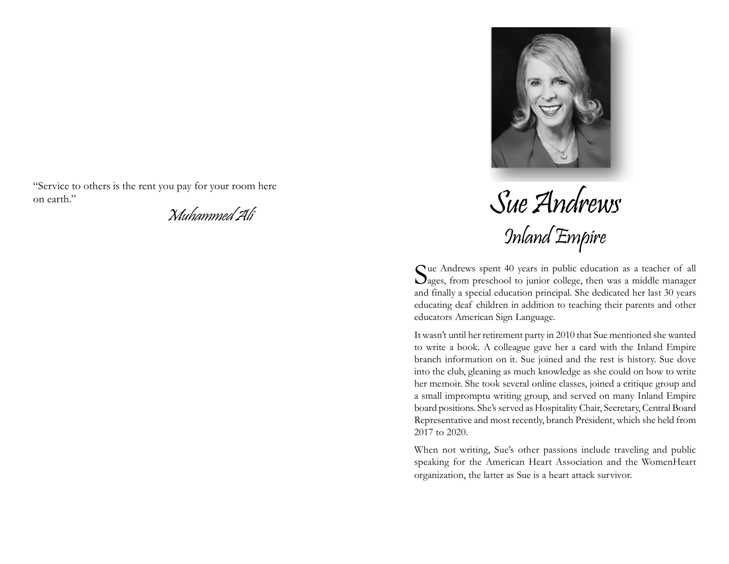"Service to others is the rent you pay for your room here on earth"



on earth."  $\mathcal S$ ue Andrews Inland Empire

Sue Andrews spent 40 years in public education as a teacher of all alges, from preschool to junior college, then was a middle manager ue Andrews spent 40 years in public education as a teacher of all and finally a special education principal. She dedicated her last 30 years educating deaf children in addition to teaching their parents and other educators American Sign Language.

It wasn't until her retirement party in 2010 that Sue mentioned she wanted to write a book. A colleague gave her a card with the Inland Empire branch information on it. Sue joined and the rest is history. Sue dove into the club, gleaning as much knowledge as she could on how to write her memoir. She took several online classes, joined a critique group and a small impromptu writing group, and served on many Inland Empire board positions. She's served as Hospitality Chair, Secretary, Central Board Representative and most recently, branch President, which she held from 2017 to 2020.

When not writing, Sue's other passions include traveling and public speaking for the American Heart Association and the WomenHeart organization, the latter as Sue is a heart attack survivor.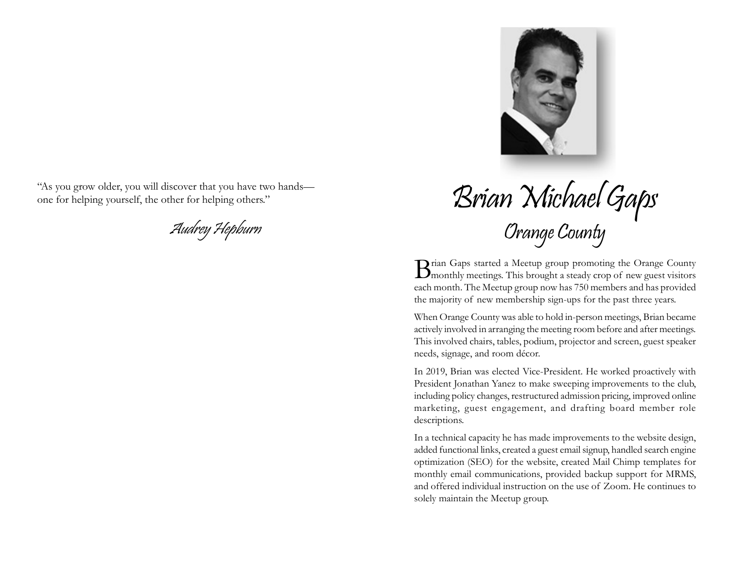"As you grow older, you will discover that you have two hands one for helping yourself, the other for helping others."

Audrey Hepburn



Brian Michael Gaps Orange County

Brian Gaps started a Meetup group promoting the Orange County<br>
monthly meetings. This brought a steady crop of new guest visitors monthly meetings. This brought a steady crop of new guest visitors each month. The Meetup group now has 750 members and has provided the majority of new membership sign-ups for the past three years.

When Orange County was able to hold in-person meetings, Brian became actively involved in arranging the meeting room before and after meetings. This involved chairs, tables, podium, projector and screen, guest speaker needs, signage, and room décor.

In 2019, Brian was elected Vice-President. He worked proactively with President Jonathan Yanez to make sweeping improvements to the club, including policy changes, restructured admission pricing, improved online marketing, guest engagement, and drafting board member role descriptions.

In a technical capacity he has made improvements to the website design, added functional links, created a guest email signup, handled search engine optimization (SEO) for the website, created Mail Chimp templates for monthly email communications, provided backup support for MRMS, and offered individual instruction on the use of Zoom. He continues to solely maintain the Meetup group.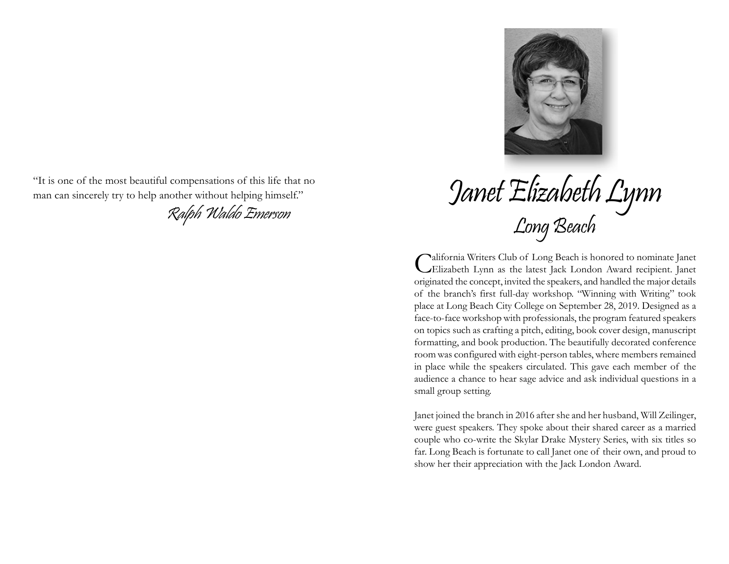"It is one of the most beautiful compensations of this life that no man can sincerely try to help another without helping himself."

Ralph Waldo Emerson



## Janet Elizabeth Lynn Long Beach

California Writers Club of Long Beach is honored to nominate Janet<br>CElizabeth Lynn as the latest Jack London Award recipient. Janet Elizabeth Lynn as the latest Jack London Award recipient. Janet originated the concept, invited the speakers, and handled the major details of the branch's first full-day workshop. "Winning with Writing" took place at Long Beach City College on September 28, 2019. Designed as a face-to-face workshop with professionals, the program featured speakers on topics such as crafting a pitch, editing, book cover design, manuscript formatting, and book production. The beautifully decorated conference room was configured with eight-person tables, where members remained in place while the speakers circulated. This gave each member of the audience a chance to hear sage advice and ask individual questions in a small group setting.

Janet joined the branch in 2016 after she and her husband, Will Zeilinger, were guest speakers. They spoke about their shared career as a married couple who co-write the Skylar Drake Mystery Series, with six titles so far. Long Beach is fortunate to call Janet one of their own, and proud to show her their appreciation with the Jack London Award.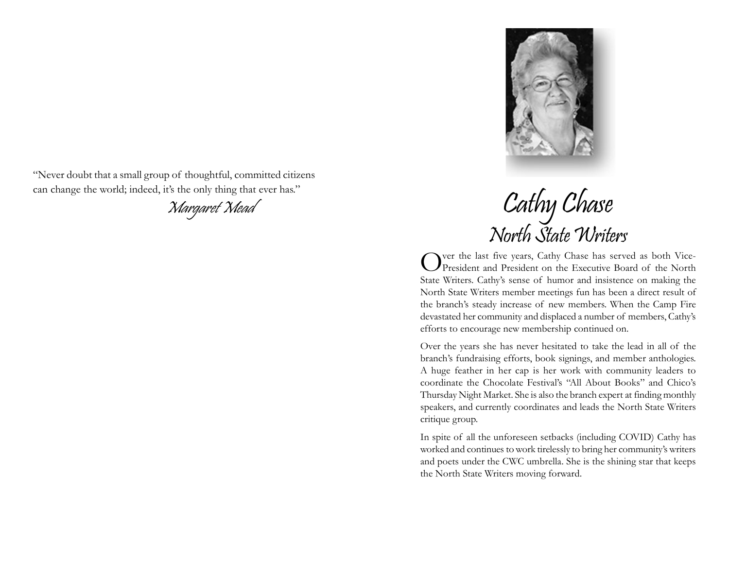"Never doubt that a small group of thoughtful, committed citizens can change the world; indeed, it's the only thing that ever has."



Margaret Mead Cathy Chase North State Writers

Over the last five years, Cathy Chase has served as both Vice-<br>President and President on the Executive Board of the North President and President on the Executive Board of the North State Writers. Cathy's sense of humor and insistence on making the North State Writers member meetings fun has been a direct result of the branch's steady increase of new members. When the Camp Fire devastated her community and displaced a number of members, Cathy's efforts to encourage new membership continued on.

Over the years she has never hesitated to take the lead in all of the branch's fundraising efforts, book signings, and member anthologies. A huge feather in her cap is her work with community leaders to coordinate the Chocolate Festival's "All About Books" and Chico's Thursday Night Market. She is also the branch expert at finding monthly speakers, and currently coordinates and leads the North State Writers critique group.

In spite of all the unforeseen setbacks (including COVID) Cathy has worked and continues to work tirelessly to bring her community's writers and poets under the CWC umbrella. She is the shining star that keeps the North State Writers moving forward.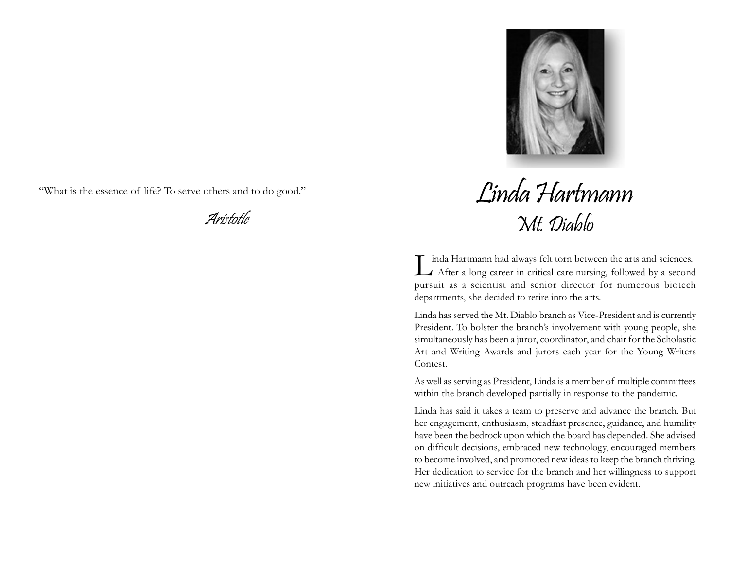"What is the essence of life? To serve others and to do good."

Aristotle



Linda Hartmann Mt. Diablo

I inda Hartmann had always felt torn between the arts and sciences.<br>After a long career in critical care nursing, followed by a second inda Hartmann had always felt torn between the arts and sciences. pursuit as a scientist and senior director for numerous biotech departments, she decided to retire into the arts.

Linda has served the Mt. Diablo branch as Vice-President and is currently President. To bolster the branch's involvement with young people, she simultaneously has been a juror, coordinator, and chair for the Scholastic Art and Writing Awards and jurors each year for the Young Writers Contest.

As well as serving as President, Linda is a member of multiple committees within the branch developed partially in response to the pandemic.

Linda has said it takes a team to preserve and advance the branch. But her engagement, enthusiasm, steadfast presence, guidance, and humility have been the bedrock upon which the board has depended. She advised on difficult decisions, embraced new technology, encouraged members to become involved, and promoted new ideas to keep the branch thriving. Her dedication to service for the branch and her willingness to support new initiatives and outreach programs have been evident.